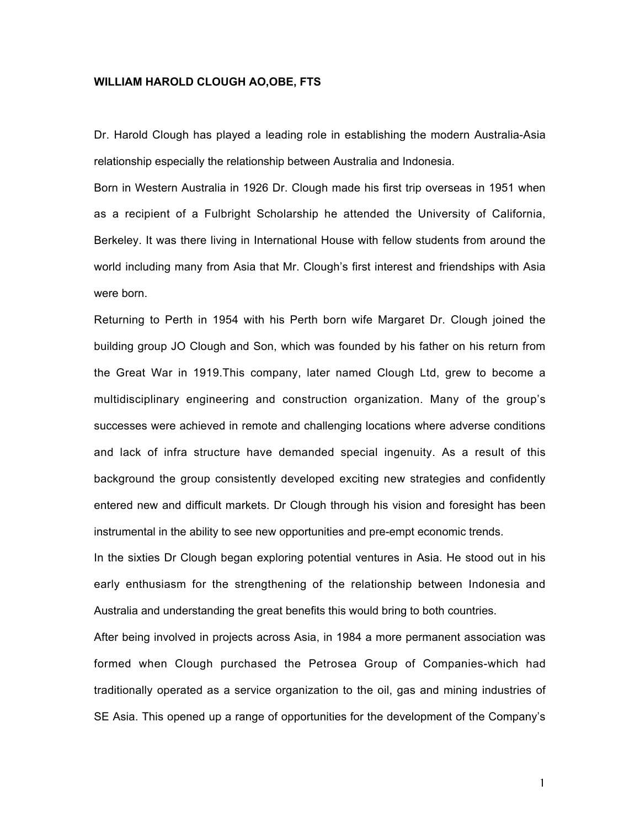## **WILLIAM HAROLD CLOUGH AO,OBE, FTS**

Dr. Harold Clough has played a leading role in establishing the modern Australia-Asia relationship especially the relationship between Australia and Indonesia.

Born in Western Australia in 1926 Dr. Clough made his first trip overseas in 1951 when as a recipient of a Fulbright Scholarship he attended the University of California, Berkeley. It was there living in International House with fellow students from around the world including many from Asia that Mr. Clough's first interest and friendships with Asia were born.

Returning to Perth in 1954 with his Perth born wife Margaret Dr. Clough joined the building group JO Clough and Son, which was founded by his father on his return from the Great War in 1919.This company, later named Clough Ltd, grew to become a multidisciplinary engineering and construction organization. Many of the group's successes were achieved in remote and challenging locations where adverse conditions and lack of infra structure have demanded special ingenuity. As a result of this background the group consistently developed exciting new strategies and confidently entered new and difficult markets. Dr Clough through his vision and foresight has been instrumental in the ability to see new opportunities and pre-empt economic trends.

In the sixties Dr Clough began exploring potential ventures in Asia. He stood out in his early enthusiasm for the strengthening of the relationship between Indonesia and Australia and understanding the great benefits this would bring to both countries.

After being involved in projects across Asia, in 1984 a more permanent association was formed when Clough purchased the Petrosea Group of Companies-which had traditionally operated as a service organization to the oil, gas and mining industries of SE Asia. This opened up a range of opportunities for the development of the Company's

1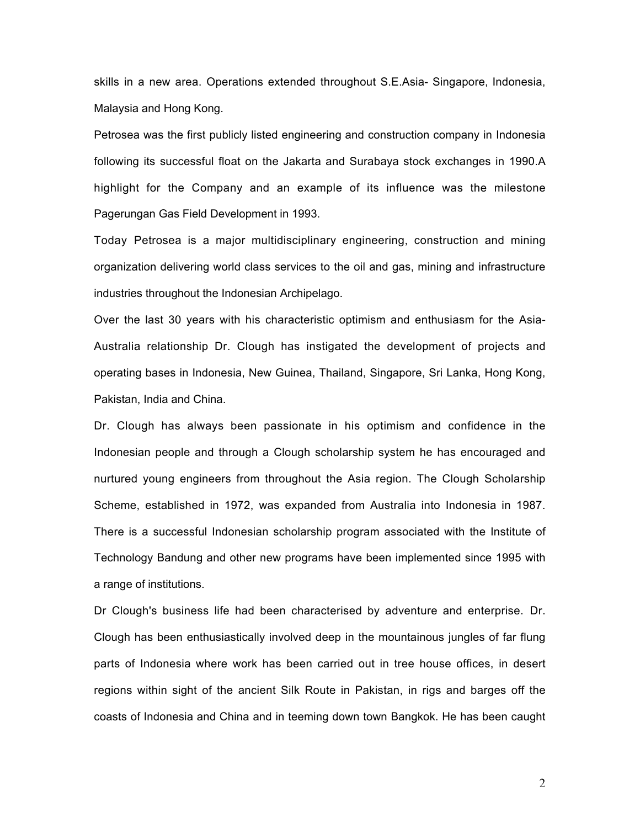skills in a new area. Operations extended throughout S.E.Asia- Singapore, Indonesia, Malaysia and Hong Kong.

Petrosea was the first publicly listed engineering and construction company in Indonesia following its successful float on the Jakarta and Surabaya stock exchanges in 1990.A highlight for the Company and an example of its influence was the milestone Pagerungan Gas Field Development in 1993.

Today Petrosea is a major multidisciplinary engineering, construction and mining organization delivering world class services to the oil and gas, mining and infrastructure industries throughout the Indonesian Archipelago.

Over the last 30 years with his characteristic optimism and enthusiasm for the Asia-Australia relationship Dr. Clough has instigated the development of projects and operating bases in Indonesia, New Guinea, Thailand, Singapore, Sri Lanka, Hong Kong, Pakistan, India and China.

Dr. Clough has always been passionate in his optimism and confidence in the Indonesian people and through a Clough scholarship system he has encouraged and nurtured young engineers from throughout the Asia region. The Clough Scholarship Scheme, established in 1972, was expanded from Australia into Indonesia in 1987. There is a successful Indonesian scholarship program associated with the Institute of Technology Bandung and other new programs have been implemented since 1995 with a range of institutions.

Dr Clough's business life had been characterised by adventure and enterprise. Dr. Clough has been enthusiastically involved deep in the mountainous jungles of far flung parts of Indonesia where work has been carried out in tree house offices, in desert regions within sight of the ancient Silk Route in Pakistan, in rigs and barges off the coasts of Indonesia and China and in teeming down town Bangkok. He has been caught

 $\mathfrak{D}$